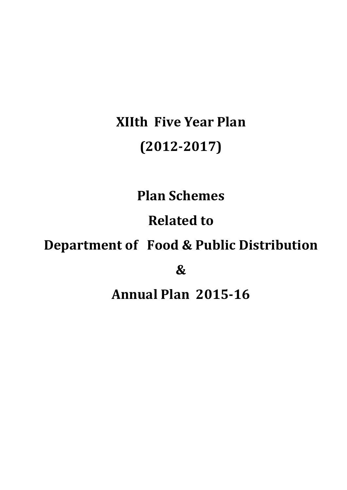# **XIIth Five Year Plan (2012-2017)**

**Plan Schemes**

**Related to** 

## **Department of Food & Public Distribution**

**&**

## **Annual Plan 2015-16**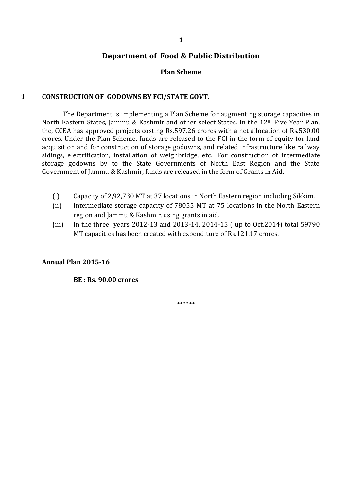## **Plan Scheme**

## **1. CONSTRUCTION OF GODOWNS BY FCI/STATE GOVT.**

The Department is implementing a Plan Scheme for augmenting storage capacities in North Eastern States, Jammu & Kashmir and other select States. In the 12<sup>th</sup> Five Year Plan, the, CCEA has approved projects costing Rs.597.26 crores with a net allocation of Rs.530.00 crores, Under the Plan Scheme, funds are released to the FCI in the form of equity for land acquisition and for construction of storage godowns, and related infrastructure like railway sidings, electrification, installation of weighbridge, etc. For construction of intermediate storage godowns by to the State Governments of North East Region and the State Government of Jammu & Kashmir, funds are released in the form of Grants in Aid.

- (i) Capacity of 2,92,730 MT at 37 locations in North Eastern region including Sikkim.
- (ii) Intermediate storage capacity of 78055 MT at 75 locations in the North Eastern region and Jammu & Kashmir, using grants in aid.
- (iii) In the three years 2012-13 and 2013-14, 2014-15 ( up to Oct.2014) total 59790 MT capacities has been created with expenditure of Rs.121.17 crores.

#### **Annual Plan 2015-16**

**BE : Rs. 90.00 crores**

\*\*\*\*\*\*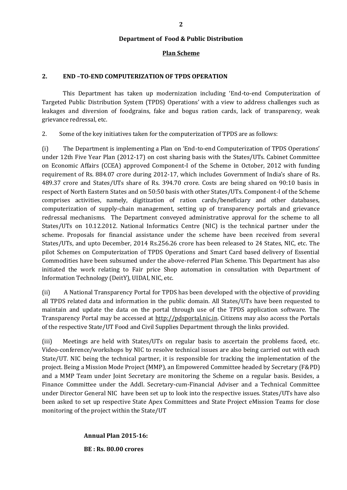#### **Plan Scheme**

#### **2. END –TO-END COMPUTERIZATION OF TPDS OPERATION**

This Department has taken up modernization including 'End-to-end Computerization of Targeted Public Distribution System (TPDS) Operations' with a view to address challenges such as leakages and diversion of foodgrains, fake and bogus ration cards, lack of transparency, weak grievance redressal, etc.

2. Some of the key initiatives taken for the computerization of TPDS are as follows:

(i) The Department is implementing a Plan on 'End-to-end Computerization of TPDS Operations' under 12th Five Year Plan (2012-17) on cost sharing basis with the States/UTs. Cabinet Committee on Economic Affairs (CCEA) approved Component-I of the Scheme in October, 2012 with funding requirement of Rs. 884.07 crore during 2012-17, which includes Government of India's share of Rs. 489.37 crore and States/UTs share of Rs. 394.70 crore. Costs are being shared on 90:10 basis in respect of North Eastern States and on 50:50 basis with other States/UTs. Component-I of the Scheme comprises activities, namely, digitization of ration cards/beneficiary and other databases, computerization of supply-chain management, setting up of transparency portals and grievance redressal mechanisms. The Department conveyed administrative approval for the scheme to all States/UTs on 10.12.2012. National Informatics Centre (NIC) is the technical partner under the scheme. Proposals for financial assistance under the scheme have been received from several States/UTs, and upto December, 2014 Rs.256.26 crore has been released to 24 States, NIC, etc. The pilot Schemes on Computerization of TPDS Operations and Smart Card based delivery of Essential Commodities have been subsumed under the above-referred Plan Scheme. This Department has also initiated the work relating to Fair price Shop automation in consultation with Department of Information Technology (DeitY), UIDAI, NIC, etc.

(ii) A National Transparency Portal for TPDS has been developed with the objective of providing all TPDS related data and information in the public domain. All States/UTs have been requested to maintain and update the data on the portal through use of the TPDS application software. The Transparency Portal may be accessed at [http://pdsportal.nic.in.](http://pdsportal.nic.in/) Citizens may also access the Portals of the respective State/UT Food and Civil Supplies Department through the links provided.

(iii) Meetings are held with States/UTs on regular basis to ascertain the problems faced, etc. Video-conference/workshops by NIC to resolve technical issues are also being carried out with each State/UT. NIC being the technical partner, it is responsible for tracking the implementation of the project. Being a Mission Mode Project (MMP), an Empowered Committee headed by Secretary (F&PD) and a MMP Team under Joint Secretary are monitoring the Scheme on a regular basis. Besides, a Finance Committee under the Addl. Secretary-cum-Financial Adviser and a Technical Committee under Director General NIC have been set up to look into the respective issues. States/UTs have also been asked to set up respective State Apex Committees and State Project eMission Teams for close monitoring of the project within the State/UT

#### **Annual Plan 2015-16:**

**BE : Rs. 80.00 crores**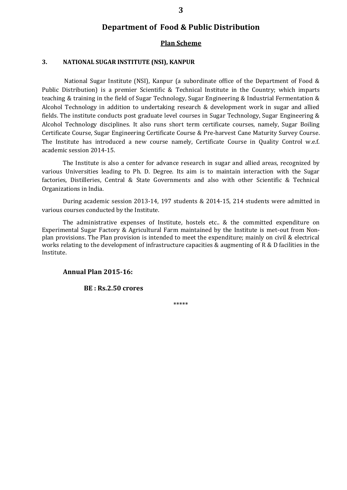#### **Plan Scheme**

### **3. NATIONAL SUGAR INSTITUTE (NSI), KANPUR**

National Sugar Institute (NSI), Kanpur (a subordinate office of the Department of Food & Public Distribution) is a premier Scientific & Technical Institute in the Country; which imparts teaching & training in the field of Sugar Technology, Sugar Engineering & Industrial Fermentation & Alcohol Technology in addition to undertaking research & development work in sugar and allied fields. The institute conducts post graduate level courses in Sugar Technology, Sugar Engineering & Alcohol Technology disciplines. It also runs short term certificate courses, namely, Sugar Boiling Certificate Course, Sugar Engineering Certificate Course & Pre-harvest Cane Maturity Survey Course. The Institute has introduced a new course namely, Certificate Course in Quality Control w.e.f. academic session 2014-15.

The Institute is also a center for advance research in sugar and allied areas, recognized by various Universities leading to Ph. D. Degree. Its aim is to maintain interaction with the Sugar factories, Distilleries, Central & State Governments and also with other Scientific & Technical Organizations in India.

During academic session 2013-14, 197 students & 2014-15, 214 students were admitted in various courses conducted by the Institute.

The administrative expenses of Institute, hostels etc.. & the committed expenditure on Experimental Sugar Factory & Agricultural Farm maintained by the Institute is met-out from Nonplan provisions. The Plan provision is intended to meet the expenditure; mainly on civil & electrical works relating to the development of infrastructure capacities & augmenting of R & D facilities in the Institute.

**Annual Plan 2015-16:**

**BE : Rs.2.50 crores**

\*\*\*\*\*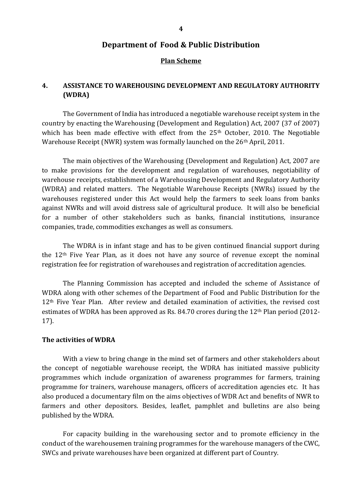#### **Plan Scheme**

## **4. ASSISTANCE TO WAREHOUSING DEVELOPMENT AND REGULATORY AUTHORITY (WDRA)**

The Government of India has introduced a negotiable warehouse receipt system in the country by enacting the Warehousing (Development and Regulation) Act, 2007 (37 of 2007) which has been made effective with effect from the 25<sup>th</sup> October, 2010. The Negotiable Warehouse Receipt (NWR) system was formally launched on the 26<sup>th</sup> April, 2011.

The main objectives of the Warehousing (Development and Regulation) Act, 2007 are to make provisions for the development and regulation of warehouses, negotiability of warehouse receipts, establishment of a Warehousing Development and Regulatory Authority (WDRA) and related matters. The Negotiable Warehouse Receipts (NWRs) issued by the warehouses registered under this Act would help the farmers to seek loans from banks against NWRs and will avoid distress sale of agricultural produce. It will also be beneficial for a number of other stakeholders such as banks, financial institutions, insurance companies, trade, commodities exchanges as well as consumers.

The WDRA is in infant stage and has to be given continued financial support during the 12th Five Year Plan, as it does not have any source of revenue except the nominal registration fee for registration of warehouses and registration of accreditation agencies.

The Planning Commission has accepted and included the scheme of Assistance of WDRA along with other schemes of the Department of Food and Public Distribution for the 12th Five Year Plan. After review and detailed examination of activities, the revised cost estimates of WDRA has been approved as Rs. 84.70 crores during the 12th Plan period (2012- 17).

#### **The activities of WDRA**

With a view to bring change in the mind set of farmers and other stakeholders about the concept of negotiable warehouse receipt, the WDRA has initiated massive publicity programmes which include organization of awareness programmes for farmers, training programme for trainers, warehouse managers, officers of accreditation agencies etc. It has also produced a documentary film on the aims objectives of WDR Act and benefits of NWR to farmers and other depositors. Besides, leaflet, pamphlet and bulletins are also being published by the WDRA.

For capacity building in the warehousing sector and to promote efficiency in the conduct of the warehousemen training programmes for the warehouse managers of the CWC, SWCs and private warehouses have been organized at different part of Country.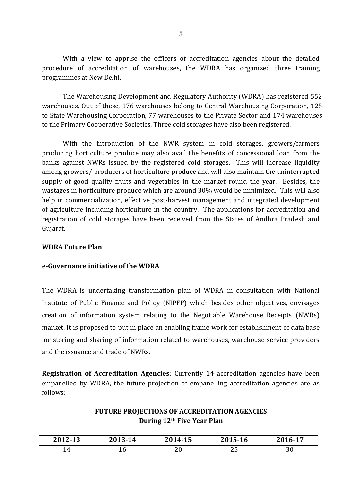With a view to apprise the officers of accreditation agencies about the detailed procedure of accreditation of warehouses, the WDRA has organized three training programmes at New Delhi.

The Warehousing Development and Regulatory Authority (WDRA) has registered 552 warehouses. Out of these, 176 warehouses belong to Central Warehousing Corporation, 125 to State Warehousing Corporation, 77 warehouses to the Private Sector and 174 warehouses to the Primary Cooperative Societies. Three cold storages have also been registered.

With the introduction of the NWR system in cold storages, growers/farmers producing horticulture produce may also avail the benefits of concessional loan from the banks against NWRs issued by the registered cold storages. This will increase liquidity among growers/ producers of horticulture produce and will also maintain the uninterrupted supply of good quality fruits and vegetables in the market round the year. Besides, the wastages in horticulture produce which are around 30% would be minimized. This will also help in commercialization, effective post-harvest management and integrated development of agriculture including horticulture in the country. The applications for accreditation and registration of cold storages have been received from the States of Andhra Pradesh and Gujarat.

### **WDRA Future Plan**

## **e-Governance initiative of the WDRA**

The WDRA is undertaking transformation plan of WDRA in consultation with National Institute of Public Finance and Policy (NIPFP) which besides other objectives, envisages creation of information system relating to the Negotiable Warehouse Receipts (NWRs) market. It is proposed to put in place an enabling frame work for establishment of data base for storing and sharing of information related to warehouses, warehouse service providers and the issuance and trade of NWRs.

**Registration of Accreditation Agencies**: Currently 14 accreditation agencies have been empanelled by WDRA, the future projection of empanelling accreditation agencies are as follows:

## **FUTURE PROJECTIONS OF ACCREDITATION AGENCIES During 12th Five Year Plan**

| 2012-13   | 2013-14 | 2014-15  | 2015-16    | 2016-17 |
|-----------|---------|----------|------------|---------|
| <b>71</b> | ᅩ       | າດ<br>∠∪ | ח ר<br>ں ت | υ∪      |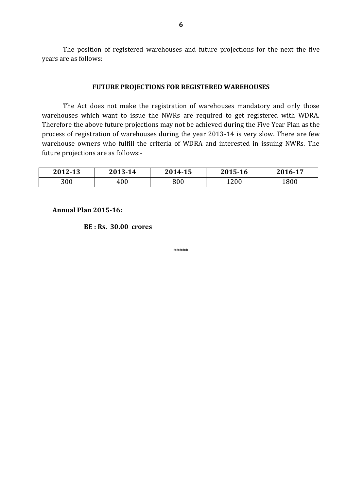The position of registered warehouses and future projections for the next the five years are as follows:

#### **FUTURE PROJECTIONS FOR REGISTERED WAREHOUSES**

The Act does not make the registration of warehouses mandatory and only those warehouses which want to issue the NWRs are required to get registered with WDRA. Therefore the above future projections may not be achieved during the Five Year Plan as the process of registration of warehouses during the year 2013-14 is very slow. There are few warehouse owners who fulfill the criteria of WDRA and interested in issuing NWRs. The future projections are as follows:-

| 2012-13 | 2013-14 | 2014-15 | 2015-16 | 2016-17 |
|---------|---------|---------|---------|---------|
| 300     | 400     | 800     | 1200    | 1800    |

**Annual Plan 2015-16:**

**BE : Rs. 30.00 crores**

\*\*\*\*\*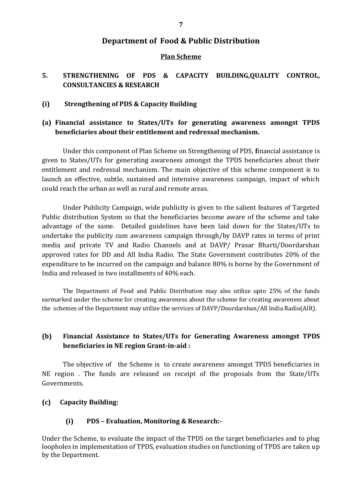## **Plan Scheme**

## **5. STRENGTHENING OF PDS & CAPACITY BUILDING,QUALITY CONTROL, CONSULTANCIES & RESEARCH**

## **(i) Strengthening of PDS & Capacity Building**

## **(a) Financial assistance to States/UTs for generating awareness amongst TPDS beneficiaries about their entitlement and redressal mechanism.**

Under this component of Plan Scheme on Strengthening of PDS, **f**inancial assistance is given to States/UTs for generating awareness amongst the TPDS beneficiaries about their entitlement and redressal mechanism. The main objective of this scheme component is to launch an effective, subtle, sustained and intensive awareness campaign, impact of which could reach the urban as well as rural and remote areas.

Under Publicity Campaign, wide publicity is given to the salient features of Targeted Public distribution System so that the beneficiaries become aware of the scheme and take advantage of the same. Detailed guidelines have been laid down for the States/UTs to undertake the publicity cum awareness campaign through/by DAVP rates in terms of print media and private TV and Radio Channels and at DAVP/ Prasar Bharti/Doordarshan approved rates for DD and All India Radio. The State Government contributes 20% of the expenditure to be incurred on the campaign and balance 80% is borne by the Government of India and released in two installments of 40% each.

The Department of Food and Public Distribution may also utilize upto 25% of the funds earmarked under the scheme for creating awareness about the scheme for creating awareness about the schemes of the Department may utilize the services of DAVP/Doordarshan/All India Radio(AIR).

## **(b) Financial Assistance to States/UTs for Generating Awareness amongst TPDS beneficiaries in NE region Grant-in-aid :**

The objective of the Scheme is to create awareness amongst TPDS beneficiaries in NE region . The funds are released on receipt of the proposals from the State/UTs Governments.

## **(c) Capacity Building:**

## **(i) PDS – Evaluation, Monitoring & Research:-**

Under the Scheme, to evaluate the impact of the TPDS on the target beneficiaries and to plug loopholes in implementation of TPDS, evaluation studies on functioning of TPDS are taken up by the Department.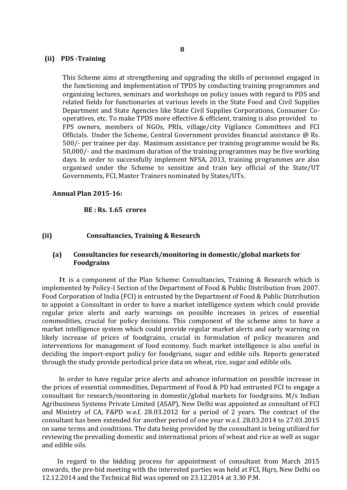#### **(ii) PDS -Training**

This Scheme aims at strengthening and upgrading the skills of personnel engaged in the functioning and implementation of TPDS by conducting training programmes and organizing lectures, seminars and workshops on policy issues with regard to PDS and related fields for functionaries at various levels in the State Food and Civil Supplies Department and State Agencies like State Civil Supplies Corporations, Consumer Cooperatives, etc. To make TPDS more effective & efficient, training is also provided to FPS owners, members of NGOs, PRIs, village/city Vigilance Committees and FCI Officials. Under the Scheme, Central Government provides financial assistance @ Rs. 500/- per trainee per day. Maximum assistance per training programme would be Rs. 50,000/- and the maximum duration of the training programmes may be five working days. In order to successfully implement NFSA, 2013, training programmes are also organised under the Scheme to sensitize and train key official of the State/UT Governments, FCI, Master Trainers nominated by States/UTs.

#### **Annual Plan 2015-16:**

#### **BE : Rs. 1.65 crores**

#### **(ii) Consultancies, Training & Research**

#### **(a) Consultancies for research/monitoring in domestic/global markets for Foodgrains**

 It is a component of the Plan Scheme: Consultancies, Training & Research which is implemented by Policy-I Section of the Department of Food & Public Distribution from 2007. Food Corporation of India (FCI) is entrusted by the Department of Food & Public Distribution to appoint a Consultant in order to have a market intelligence system which could provide regular price alerts and early warnings on possible increases in prices of essential commodities, crucial for policy decisions. This component of the scheme aims to have a market intelligence system which could provide regular market alerts and early warning on likely increase of prices of foodgrains, crucial in formulation of policy measures and interventions for management of food economy. Such market intelligence is also useful in deciding the import-export policy for foodgrians, sugar and edible oils. Reports generated through the study provide periodical price data on wheat, rice, sugar and edible oils.

 In order to have regular price alerts and advance information on possible increase in the prices of essential commodities, Department of Food & PD had entrusted FCI to engage a consultant for research/monitoring in domestic/global markets for foodgrains. M/s Indian Agribusiness Systems Private Limited (ASAP), New Delhi was appointed as consultant of FCI and Ministry of CA, F&PD w.e.f. 28.03.2012 for a period of 2 years. The contract of the consultant has been extended for another period of one year w.e.f. 28.03.2014 to 27.03.2015 on same terms and conditions. The data being provided by the consultant is being utilized for reviewing the prevailing domestic and international prices of wheat and rice as well as sugar and edible oils.

 In regard to the bidding process for appointment of consultant from March 2015 onwards, the pre-bid meeting with the interested parties was held at FCI, Hqrs, New Delhi on 12.12.2014 and the Technical Bid was opened on 23.12.2014 at 3.30 P.M.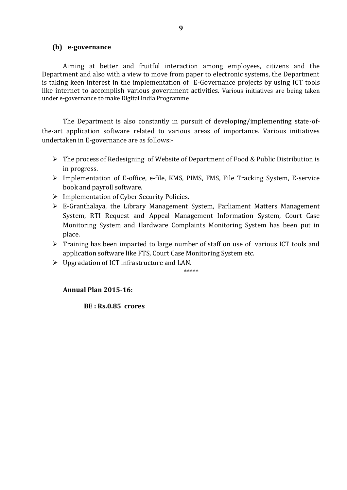#### **(b) e-governance**

Aiming at better and fruitful interaction among employees, citizens and the Department and also with a view to move from paper to electronic systems, the Department is taking keen interest in the implementation of E-Governance projects by using ICT tools like internet to accomplish various government activities. Various initiatives are being taken under e-governance to make Digital India Programme

The Department is also constantly in pursuit of developing/implementing state-ofthe-art application software related to various areas of importance. Various initiatives undertaken in E-governance are as follows:-

- The process of Redesigning of Website of Department of Food & Public Distribution is in progress.
- Implementation of E-office, e-file, KMS, PIMS, FMS, File Tracking System, E-service book and payroll software.
- $\triangleright$  Implementation of Cyber Security Policies.
- E-Granthalaya, the Library Management System, Parliament Matters Management System, RTI Request and Appeal Management Information System, Court Case Monitoring System and Hardware Complaints Monitoring System has been put in place.
- $\triangleright$  Training has been imparted to large number of staff on use of various ICT tools and application software like FTS, Court Case Monitoring System etc.
- $\triangleright$  Upgradation of ICT infrastructure and LAN.

\*\*\*\*\*

## **Annual Plan 2015-16:**

**BE : Rs.0.85 crores**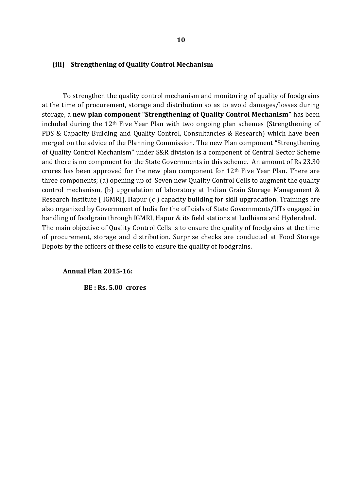#### **(iii) Strengthening of Quality Control Mechanism**

To strengthen the quality control mechanism and monitoring of quality of foodgrains at the time of procurement, storage and distribution so as to avoid damages/losses during storage, a **new plan component "Strengthening of Quality Control Mechanism"** has been included during the 12th Five Year Plan with two ongoing plan schemes (Strengthening of PDS & Capacity Building and Quality Control, Consultancies & Research) which have been merged on the advice of the Planning Commission. The new Plan component "Strengthening of Quality Control Mechanism" under S&R division is a component of Central Sector Scheme and there is no component for the State Governments in this scheme. An amount of Rs 23.30 crores has been approved for the new plan component for  $12<sup>th</sup>$  Five Year Plan. There are three components; (a) opening up of Seven new Quality Control Cells to augment the quality control mechanism, (b) upgradation of laboratory at Indian Grain Storage Management & Research Institute ( IGMRI), Hapur (c ) capacity building for skill upgradation. Trainings are also organized by Government of India for the officials of State Governments/UTs engaged in handling of foodgrain through IGMRI, Hapur & its field stations at Ludhiana and Hyderabad. The main objective of Quality Control Cells is to ensure the quality of foodgrains at the time of procurement, storage and distribution. Surprise checks are conducted at Food Storage Depots by the officers of these cells to ensure the quality of foodgrains.

#### **Annual Plan 2015-16:**

**BE : Rs. 5.00 crores**